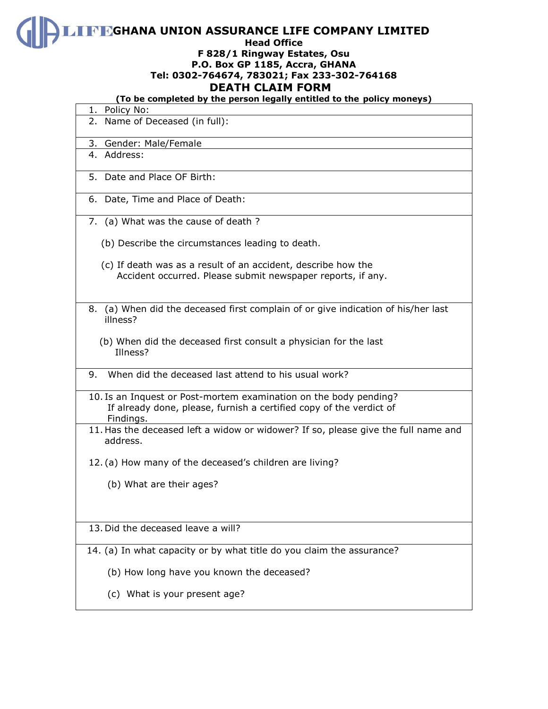**GHANA UNION ASSURANCE LIFE COMPANY LIMITED** 

#### **Head Office**

### **F 828/1 Ringway Estates, Osu P.O. Box GP 1185, Accra, GHANA Tel: 0302-764674, 783021; Fax 233-302-764168 DEATH CLAIM FORM**

### **(To be completed by the person legally entitled to the policy moneys)**

| 1. Policy No:                                                                                                                                         |
|-------------------------------------------------------------------------------------------------------------------------------------------------------|
| 2. Name of Deceased (in full):                                                                                                                        |
| 3. Gender: Male/Female                                                                                                                                |
| 4. Address:                                                                                                                                           |
| 5. Date and Place OF Birth:                                                                                                                           |
| 6. Date, Time and Place of Death:                                                                                                                     |
| 7. (a) What was the cause of death?                                                                                                                   |
| (b) Describe the circumstances leading to death.                                                                                                      |
| (c) If death was as a result of an accident, describe how the<br>Accident occurred. Please submit newspaper reports, if any.                          |
| 8. (a) When did the deceased first complain of or give indication of his/her last<br>illness?                                                         |
| (b) When did the deceased first consult a physician for the last<br>Illness?                                                                          |
| 9. When did the deceased last attend to his usual work?                                                                                               |
| 10. Is an Inquest or Post-mortem examination on the body pending?<br>If already done, please, furnish a certified copy of the verdict of<br>Findings. |
| 11. Has the deceased left a widow or widower? If so, please give the full name and<br>address.                                                        |
| 12. (a) How many of the deceased's children are living?                                                                                               |
| (b) What are their ages?                                                                                                                              |
| 13. Did the deceased leave a will?                                                                                                                    |
| 14. (a) In what capacity or by what title do you claim the assurance?                                                                                 |
| (b) How long have you known the deceased?                                                                                                             |
| (c) What is your present age?                                                                                                                         |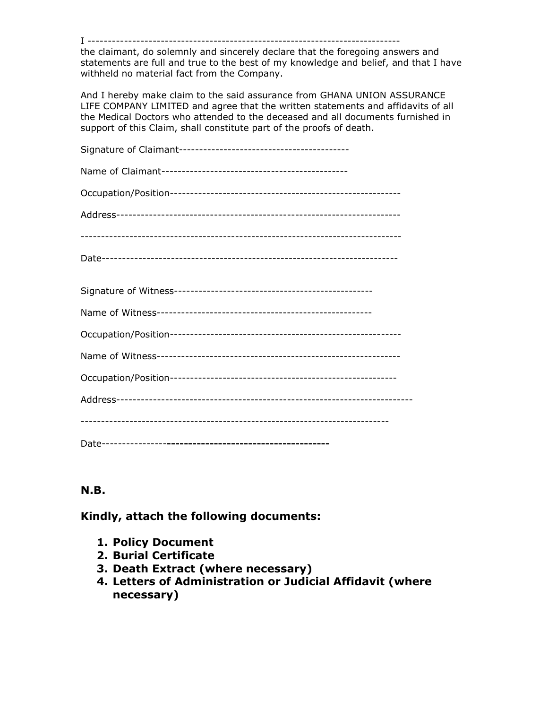I -----------------------------------------------------------------------------

the claimant, do solemnly and sincerely declare that the foregoing answers and statements are full and true to the best of my knowledge and belief, and that I have withheld no material fact from the Company.

And I hereby make claim to the said assurance from GHANA UNION ASSURANCE LIFE COMPANY LIMITED and agree that the written statements and affidavits of all the Medical Doctors who attended to the deceased and all documents furnished in support of this Claim, shall constitute part of the proofs of death.

# **N.B.**

**Kindly, attach the following documents:**

- **1. Policy Document**
- **2. Burial Certificate**
- **3. Death Extract (where necessary)**
- **4. Letters of Administration or Judicial Affidavit (where necessary)**